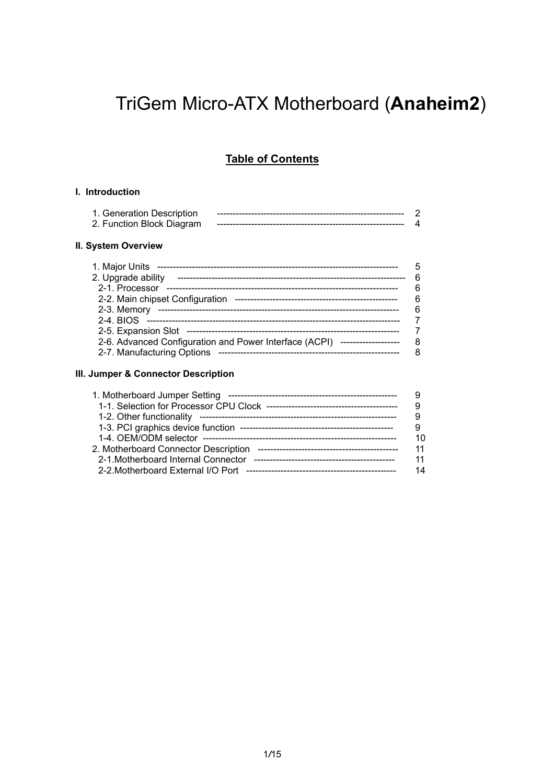# TriGem Micro-ATX Motherboard (**Anaheim2**)

### **Table of Contents**

#### **I. Introduction**

| 1. Generation Description |  |
|---------------------------|--|
| 2. Function Block Diagram |  |

#### **II. System Overview**

|                                                                            | 5 |
|----------------------------------------------------------------------------|---|
| 2. Upgrade ability                                                         | 6 |
| 2-1. Processor                                                             | 6 |
| 2-2. Main chipset Configuration                                            | 6 |
| 2-3. Memory                                                                | 6 |
| 2-4. BIOS                                                                  |   |
|                                                                            |   |
| 2-6. Advanced Configuration and Power Interface (ACPI) ------------------- | 8 |
| 2-7. Manufacturing Options                                                 |   |

#### **III. Jumper & Connector Description**

| 1. Motherboard Jumper Setting        |    |
|--------------------------------------|----|
|                                      |    |
|                                      |    |
|                                      |    |
|                                      | 10 |
| 2. Motherboard Connector Description | 11 |
| 2-1. Motherboard Internal Connector  | 11 |
|                                      | 14 |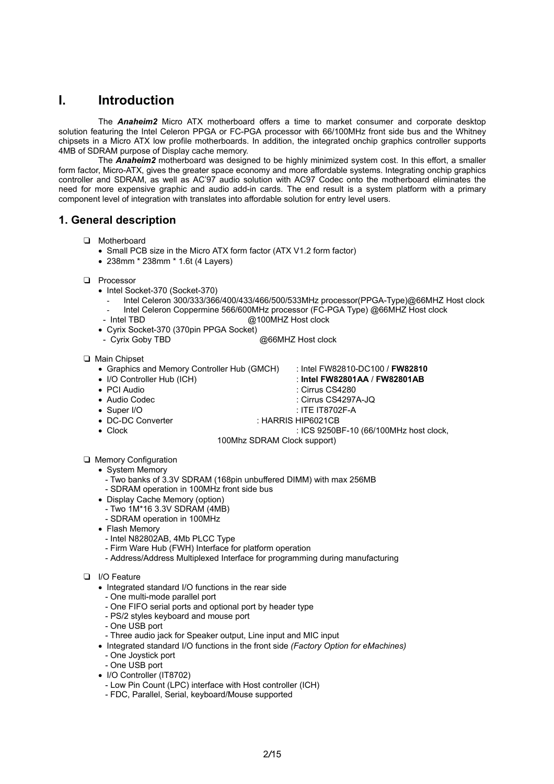### **I. Introduction**

The *Anaheim2* Micro ATX motherboard offers a time to market consumer and corporate desktop solution featuring the Intel Celeron PPGA or FC-PGA processor with 66/100MHz front side bus and the Whitney chipsets in a Micro ATX low profile motherboards. In addition, the integrated onchip graphics controller supports 4MB of SDRAM purpose of Display cache memory.

The *Anaheim2* motherboard was designed to be highly minimized system cost. In this effort, a smaller form factor, Micro-ATX, gives the greater space economy and more affordable systems. Integrating onchip graphics controller and SDRAM, as well as AC'97 audio solution with AC97 Codec onto the motherboard eliminates the need for more expensive graphic and audio add-in cards. The end result is a system platform with a primary component level of integration with translates into affordable solution for entry level users.

### **1. General description**

- T Motherboard
	- Small PCB size in the Micro ATX form factor (ATX V1.2 form factor)
	- 238mm \* 238mm \* 1.6t (4 Layers)
- D Processor
	- Intel Socket-370 (Socket-370)
		- Intel Celeron 300/333/366/400/433/466/500/533MHz processor(PPGA-Type)@66MHZ Host clock - Intel Celeron Coppermine 566/600MHz processor (FC-PGA Type) @66MHZ Host clock
	- Intel TBD **@100MHZ** Host clock
	- Cyrix Socket-370 (370pin PPGA Socket)
	- Cyrix Goby TBD @66MHZ Host clock

#### T Main Chipset

- Graphics and Memory Controller Hub (GMCH) : Intel FW82810-DC100 / **FW82810**
- 
- I/O Controller Hub (ICH) : **Intel FW82801AA** / **FW82801AB**
- PCI Audio : Cirrus CS4280
- Audio Codec : Cirrus CS4297A-JQ
	-
- Super I/O : ITE IT8702F-A • DC-DC Converter : HARRIS HIP6021CB
- 
- Clock : ICS 9250BF-10 (66/100MHz host clock,
	- 100Mhz SDRAM Clock support)
- **Q** Memory Configuration
	- System Memory
		- Two banks of 3.3V SDRAM (168pin unbuffered DIMM) with max 256MB - SDRAM operation in 100MHz front side bus
	- Display Cache Memory (option)
		- Two 1M\*16 3.3V SDRAM (4MB)
		- SDRAM operation in 100MHz
	- Flash Memory
		- Intel N82802AB, 4Mb PLCC Type
		- Firm Ware Hub (FWH) Interface for platform operation
		- Address/Address Multiplexed Interface for programming during manufacturing

#### D I/O Feature

- Integrated standard I/O functions in the rear side
- One multi-mode parallel port
- One FIFO serial ports and optional port by header type
- PS/2 styles keyboard and mouse port
- One USB port
- Three audio jack for Speaker output, Line input and MIC input
- Integrated standard I/O functions in the front side *(Factory Option for eMachines)*
	- One Joystick port
- One USB port
- I/O Controller (IT8702)
	- Low Pin Count (LPC) interface with Host controller (ICH)
	- FDC, Parallel, Serial, keyboard/Mouse supported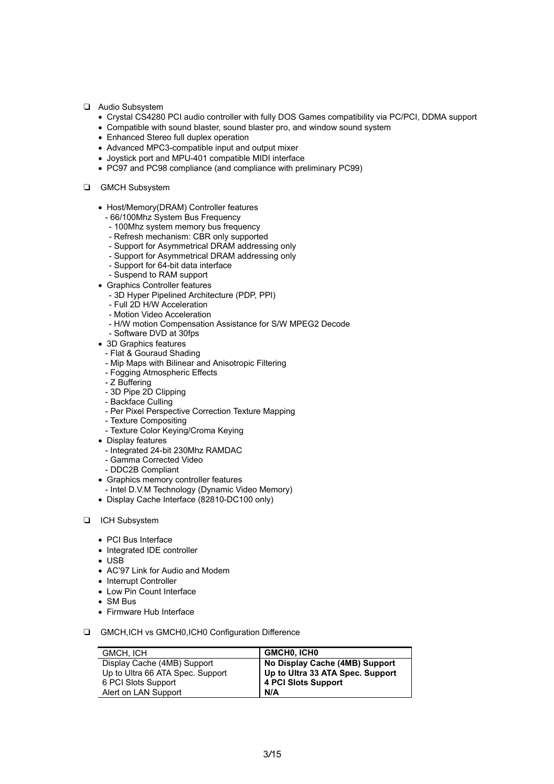- T Audio Subsystem
	- Crystal CS4280 PCI audio controller with fully DOS Games compatibility via PC/PCI, DDMA support
	- Compatible with sound blaster, sound blaster pro, and window sound system
	- Enhanced Stereo full duplex operation
	- Advanced MPC3-compatible input and output mixer
	- Joystick port and MPU-401 compatible MIDI interface
	- PC97 and PC98 compliance (and compliance with preliminary PC99)
- **Q** GMCH Subsystem
	- Host/Memory(DRAM) Controller features
		- 66/100Mhz System Bus Frequency
		- 100Mhz system memory bus frequency
		- Refresh mechanism: CBR only supported
		- Support for Asymmetrical DRAM addressing only
		- Support for Asymmetrical DRAM addressing only
		- Support for 64-bit data interface
		- Suspend to RAM support
	- Graphics Controller features
		- 3D Hyper Pipelined Architecture (PDP, PPI)
		- Full 2D H/W Acceleration - Motion Video Acceleration
		- H/W motion Compensation Assistance for S/W MPEG2 Decode
		- Software DVD at 30fps
	- 3D Graphics features
		- Flat & Gouraud Shading
		- Mip Maps with Bilinear and Anisotropic Filtering
		- Fogging Atmospheric Effects
		- Z Buffering
		- 3D Pipe 2D Clipping
		- Backface Culling
		- Per Pixel Perspective Correction Texture Mapping
		- Texture Compositing
		- Texture Color Keying/Croma Keying
	- Display features
		- Integrated 24-bit 230Mhz RAMDAC
		- Gamma Corrected Video
		- DDC2B Compliant
	- Graphics memory controller features
	- Intel D.V.M Technology (Dynamic Video Memory)
	- Display Cache Interface (82810-DC100 only)
- **T** ICH Subsystem
	- PCI Bus Interface
	- Integrated IDE controller
	- $\cdot$  USB
	- AC'97 Link for Audio and Modem
	- Interrupt Controller
	- Low Pin Count Interface
	- SM Bus
	- Firmware Hub Interface
- □ GMCH, ICH vs GMCH0, ICH0 Configuration Difference

| GMCH. ICH                        | GMCHO, ICHO                      |
|----------------------------------|----------------------------------|
| Display Cache (4MB) Support      | No Display Cache (4MB) Support   |
| Up to Ultra 66 ATA Spec. Support | Up to Ultra 33 ATA Spec. Support |
| 6 PCI Slots Support              | 4 PCI Slots Support              |
| Alert on LAN Support             | N/A                              |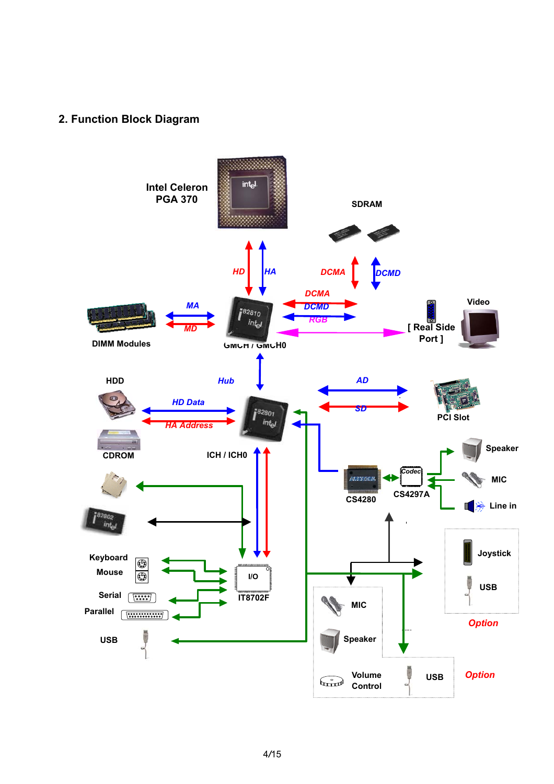### **2. Function Block Diagram**

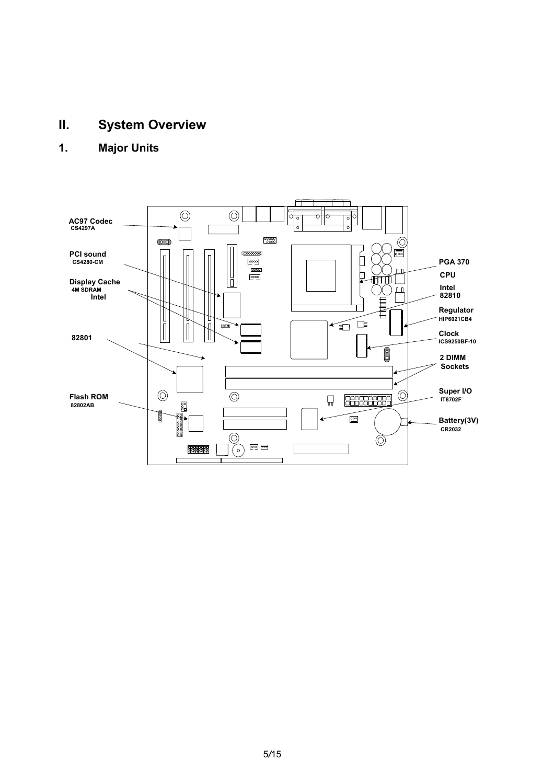## **II. System Overview**

### **1. Major Units**

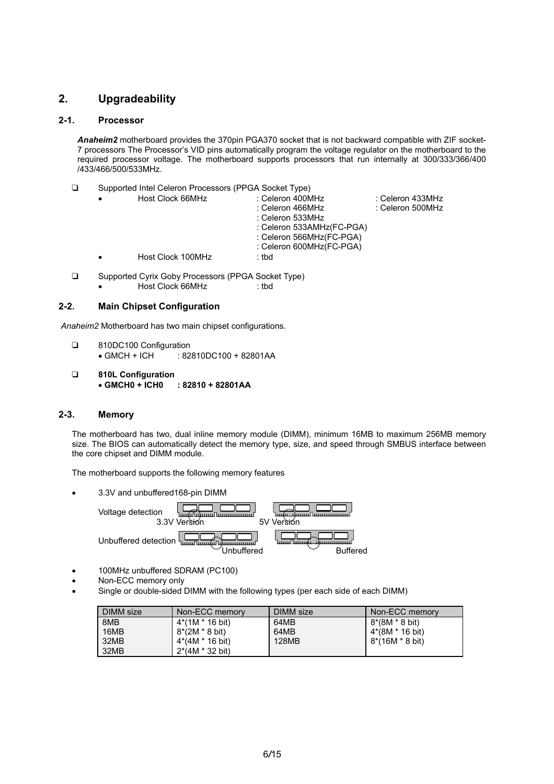### **2. Upgradeability**

#### **2-1. Processor**

*Anaheim2* motherboard provides the 370pin PGA370 socket that is not backward compatible with ZIF socket-7 processors The Processor's VID pins automatically program the voltage regulator on the motherboard to the required processor voltage. The motherboard supports processors that run internally at 300/333/366/400 /433/466/500/533MHz.

T Supported Intel Celeron Processors (PPGA Socket Type)

| $\bullet$ | Host Clock 66MHz  | : Celeron 400MHz<br>: Celeron 466MHz<br>: Celeron 533MHz<br>: Celeron 533AMHz(FC-PGA)<br>: Celeron 566MHz(FC-PGA) | ∶ Celeron 433MHz<br>: Celeron 500MHz |
|-----------|-------------------|-------------------------------------------------------------------------------------------------------------------|--------------------------------------|
|           |                   | : Celeron 600MHz(FC-PGA)                                                                                          |                                      |
|           | Host Clock 100MHz | : tbd                                                                                                             |                                      |
|           |                   |                                                                                                                   |                                      |

□ Supported Cyrix Goby Processors (PPGA Socket Type) • Host Clock 66MHz : tbd

#### **2-2. Main Chipset Configuration**

*Anaheim2* Motherboard has two main chipset configurations.

- □ 810DC100 Configuration • GMCH + ICH : 82810DC100 + 82801AA
- T **810L Configuration** • **GMCH0 + ICH0 : 82810 + 82801AA**

#### **2-3. Memory**

The motherboard has two, dual inline memory module (DIMM), minimum 16MB to maximum 256MB memory size. The BIOS can automatically detect the memory type, size, and speed through SMBUS interface between the core chipset and DIMM module.

The motherboard supports the following memory features

• 3.3V and unbuffered168-pin DIMM

Voltage detection 3.3V Version 5V Version Unbuffered detection Unbuffered Buffered

- 100MHz unbuffered SDRAM (PC100)
- Non-ECC memory only
- Single or double-sided DIMM with the following types (per each side of each DIMM)

| DIMM size | Non-ECC memory            | DIMM size | Non-ECC memory  |
|-----------|---------------------------|-----------|-----------------|
| 8MB       | 4*(1M * 16 bit)           | 64MB      | 8*(8M * 8 bit)  |
| 16MB      | $8*(2M * 8 \text{ bit})$  | 64MB      | 4*(8M * 16 bit) |
| 32MB      | 4*(4M * 16 bit)           | 128MB     | 8*(16M * 8 bit) |
| 32MB      | $2*(4M * 32 \text{ bit})$ |           |                 |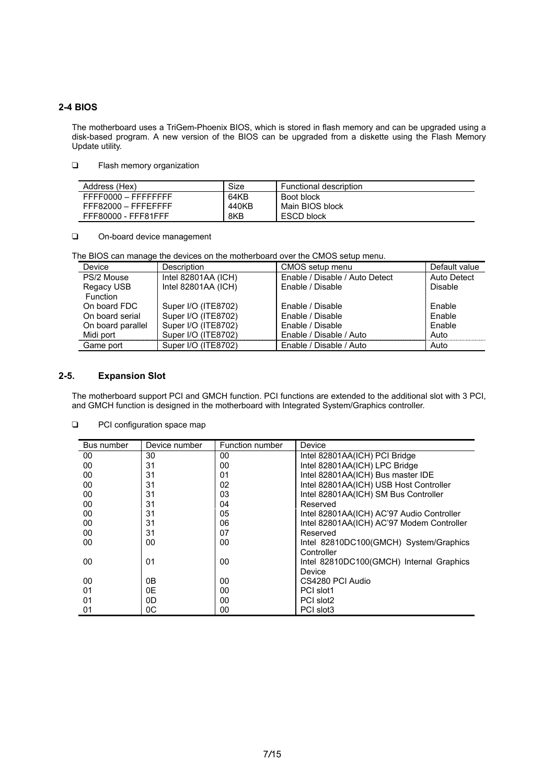#### **2-4 BIOS**

The motherboard uses a TriGem-Phoenix BIOS, which is stored in flash memory and can be upgraded using a disk-based program. A new version of the BIOS can be upgraded from a diskette using the Flash Memory Update utility.

#### **T** Flash memory organization

| Address (Hex)       | Size  | <b>Functional description</b> |
|---------------------|-------|-------------------------------|
| FFFF0000 - FFFFFFFF | 64KB  | Boot block                    |
| FFF82000 - FFFEFFFF | 440KB | Main BIOS block               |
| FFF80000 - FFF81FFF | 8KB   | <b>ESCD block</b>             |

On-board device management

The BIOS can manage the devices on the motherboard over the CMOS setup menu.

| Device            | Description         | CMOS setup menu                | Default value |
|-------------------|---------------------|--------------------------------|---------------|
| PS/2 Mouse        | Intel 82801AA (ICH) | Enable / Disable / Auto Detect | Auto Detect   |
| Regacy USB        | Intel 82801AA (ICH) | Enable / Disable               | Disable       |
| <b>Function</b>   |                     |                                |               |
| On board FDC      | Super I/O (ITE8702) | Enable / Disable               | Enable        |
| On board serial   | Super I/O (ITE8702) | Enable / Disable               | Enable        |
| On board parallel | Super I/O (ITE8702) | Enable / Disable               | Enable        |
| Midi port         | Super I/O (ITE8702) | Enable / Disable / Auto        | Auto          |
| Game port         | Super I/O (ITE8702) | Enable / Disable / Auto        | Auto          |

#### **2-5. Expansion Slot**

The motherboard support PCI and GMCH function. PCI functions are extended to the additional slot with 3 PCI, and GMCH function is designed in the motherboard with Integrated System/Graphics controller.

| Bus number | Device number | Function number | Device                                    |
|------------|---------------|-----------------|-------------------------------------------|
| 00         | 30            | 00              | Intel 82801AA(ICH) PCI Bridge             |
| 00         | 31            | 00              | Intel 82801AA(ICH) LPC Bridge             |
| 00         | 31            | 01              | Intel 82801AA(ICH) Bus master IDE         |
| 00         | 31            | 02              | Intel 82801AA(ICH) USB Host Controller    |
| 00         | 31            | 03              | Intel 82801AA(ICH) SM Bus Controller      |
| 00         | 31            | 04              | Reserved                                  |
| 00         | 31            | 05              | Intel 82801AA(ICH) AC'97 Audio Controller |
| 00         | 31            | 06              | Intel 82801AA(ICH) AC'97 Modem Controller |
| 00         | 31            | 07              | Reserved                                  |
| 00         | 00            | 00              | Intel 82810DC100(GMCH) System/Graphics    |
|            |               |                 | Controller                                |
| 00         | 01            | 00              | Intel 82810DC100(GMCH) Internal Graphics  |
|            |               |                 | Device                                    |
| 00         | 0В            | 00              | CS4280 PCI Audio                          |
| 01         | 0E            | 00              | PCI slot1                                 |
| 01         | 0D            | 00              | PCI slot2                                 |
| 01         | 0C            | 00              | PCI slot3                                 |

#### **D** PCI configuration space map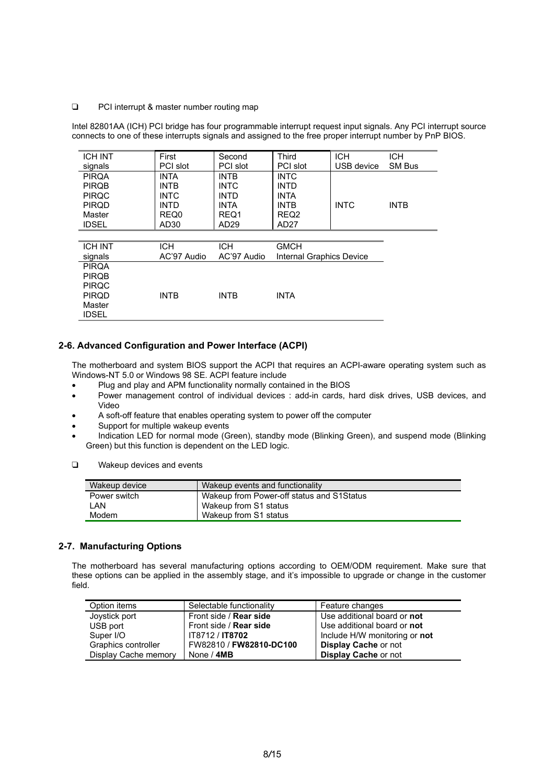#### □ PCI interrupt & master number routing map

Intel 82801AA (ICH) PCI bridge has four programmable interrupt request input signals. Any PCI interrupt source connects to one of these interrupts signals and assigned to the free proper interrupt number by PnP BIOS.

| <b>ICH INT</b> | First            | Second      | Third                    | <b>ICH</b>  | <b>ICH</b>    |
|----------------|------------------|-------------|--------------------------|-------------|---------------|
| signals        | PCI slot         | PCI slot    | PCI slot                 | USB device  | <b>SM Bus</b> |
| <b>PIRQA</b>   | <b>INTA</b>      | <b>INTB</b> | <b>INTC</b>              |             |               |
| <b>PIRQB</b>   | <b>INTB</b>      | <b>INTC</b> | <b>INTD</b>              |             |               |
| <b>PIRQC</b>   | <b>INTC</b>      | <b>INTD</b> | <b>INTA</b>              |             |               |
| <b>PIRQD</b>   | <b>INTD</b>      | <b>INTA</b> | <b>INTB</b>              | <b>INTC</b> | <b>INTB</b>   |
| Master         | REQ0             | REQ1        | REQ <sub>2</sub>         |             |               |
| <b>IDSEL</b>   | AD <sub>30</sub> | AD29        | AD27                     |             |               |
|                |                  |             |                          |             |               |
| <b>ICH INT</b> | <b>ICH</b>       | <b>ICH</b>  | <b>GMCH</b>              |             |               |
| signals        | AC'97 Audio      | AC'97 Audio | Internal Graphics Device |             |               |
| <b>PIRQA</b>   |                  |             |                          |             |               |
| <b>PIRQB</b>   |                  |             |                          |             |               |
| <b>PIRQC</b>   |                  |             |                          |             |               |
| <b>PIROD</b>   | <b>INTB</b>      | <b>INTB</b> | <b>INTA</b>              |             |               |
| Master         |                  |             |                          |             |               |
| <b>IDSEL</b>   |                  |             |                          |             |               |

#### **2-6. Advanced Configuration and Power Interface (ACPI)**

The motherboard and system BIOS support the ACPI that requires an ACPI-aware operating system such as Windows-NT 5.0 or Windows 98 SE. ACPI feature include

- Plug and play and APM functionality normally contained in the BIOS
- Power management control of individual devices : add-in cards, hard disk drives, USB devices, and Video
- A soft-off feature that enables operating system to power off the computer
- Support for multiple wakeup events
- Indication LED for normal mode (Green), standby mode (Blinking Green), and suspend mode (Blinking Green) but this function is dependent on the LED logic.
- $\Box$  Wakeup devices and events

| Wakeup device | Wakeup events and functionality           |
|---------------|-------------------------------------------|
| Power switch  | Wakeup from Power-off status and S1Status |
| I AN          | Wakeup from S1 status                     |
| Modem         | Wakeup from S1 status                     |

#### **2-7. Manufacturing Options**

The motherboard has several manufacturing options according to OEM/ODM requirement. Make sure that these options can be applied in the assembly stage, and it's impossible to upgrade or change in the customer field.

| Option items         | Selectable functionality      | Feature changes               |
|----------------------|-------------------------------|-------------------------------|
| Joystick port        | Front side / <b>Rear side</b> | Use additional board or not   |
| USB port             | Front side / Rear side        | Use additional board or not   |
| Super I/O            | IT8712 / IT8702               | Include H/W monitoring or not |
| Graphics controller  | FW82810 / FW82810-DC100       | <b>Display Cache or not</b>   |
| Display Cache memory | None / 4MB                    | <b>Display Cache or not</b>   |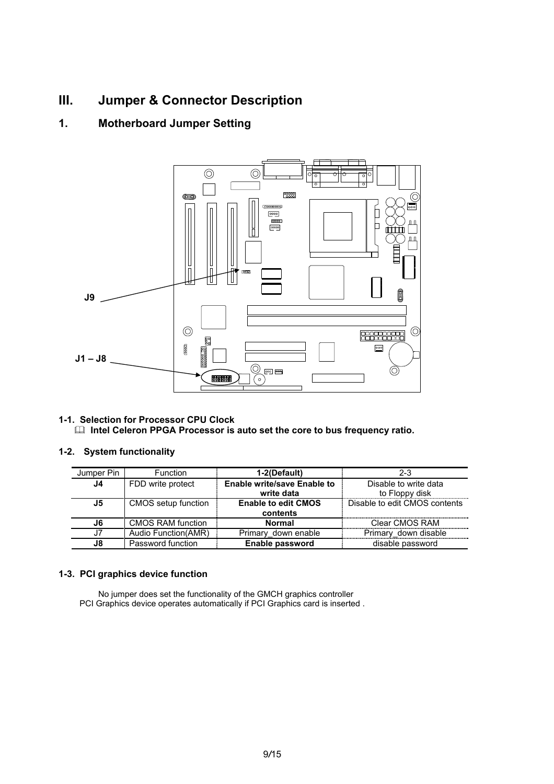### **III. Jumper & Connector Description**

### **1. Motherboard Jumper Setting**



**1-1. Selection for Processor CPU Clock EXECTE CELET INTERS PROCESS IS AUTOMOBILE IN A INC.** Intel Celeron PPGA Processor is auto set the core to bus frequency ratio.

#### **1-2. System functionality**

| Jumper Pin | Function             | 1-2(Default)                       | $2 - 3$                       |
|------------|----------------------|------------------------------------|-------------------------------|
| J4.        | FDD write protect    | <b>Enable write/save Enable to</b> | Disable to write data         |
|            |                      | write data                         | to Floppy disk                |
| J5         | CMOS setup function  | <b>Enable to edit CMOS</b>         | Disable to edit CMOS contents |
|            |                      | contents                           |                               |
| 16.        | CMOS RAM function    | <b>Normal</b>                      | Clear CMOS RAM                |
|            | Audio Function (AMR) | Primary down enable                | Primary down disable          |
| J8.        | Password function    | Enable password                    | disable password              |

#### **1-3. PCI graphics device function**

No jumper does set the functionality of the GMCH graphics controller PCI Graphics device operates automatically if PCI Graphics card is inserted .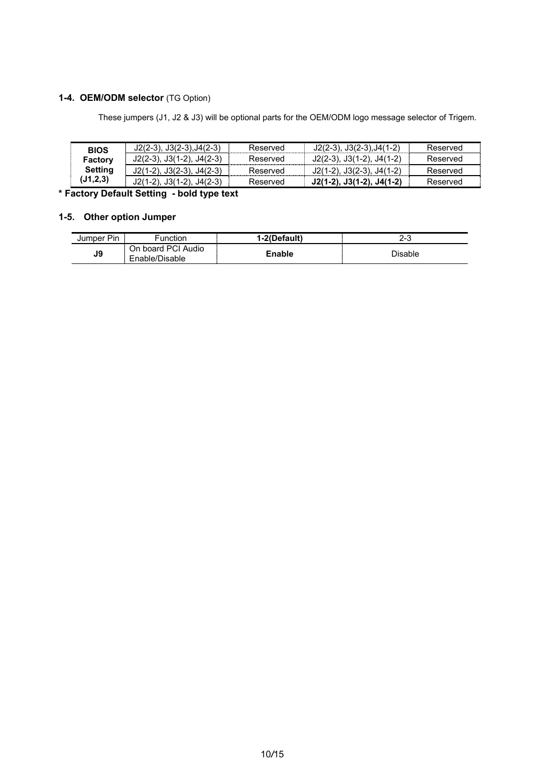### **1-4. OEM/ODM selector** (TG Option)

These jumpers (J1, J2 & J3) will be optional parts for the OEM/ODM logo message selector of Trigem.

| <b>BIOS</b> | $J2(2-3), J3(2-3), J4(2-3)$       | Reserved | $J2(2-3), J3(2-3), J4(1-2)$ | Reserved |
|-------------|-----------------------------------|----------|-----------------------------|----------|
| Factory     | $J2(2-3)$ , $J3(1-2)$ , $J4(2-3)$ | Reserved | J2(2-3), J3(1-2), J4(1-2)   | Reserved |
| Settina     | J2(1-2). J3(2-3). J4(2-3)         | Reserved | J2(1-2), J3(2-3), J4(1-2)   | Reserved |
| (J1, 2, 3)  | J2(1-2), J3(1-2), J4(2-3)         | Reserved | $J2(1-2), J3(1-2), J4(1-2)$ | Reserved |

**\* Factory Default Setting - bold type text**

### **1-5. Other option Jumper**

| Jumper Pin | Function                             | 1-2(Default) | ົ<br>د-∠ |
|------------|--------------------------------------|--------------|----------|
| J9         | On board PCI Audio<br>Enable/Disable | Enable       | Disable  |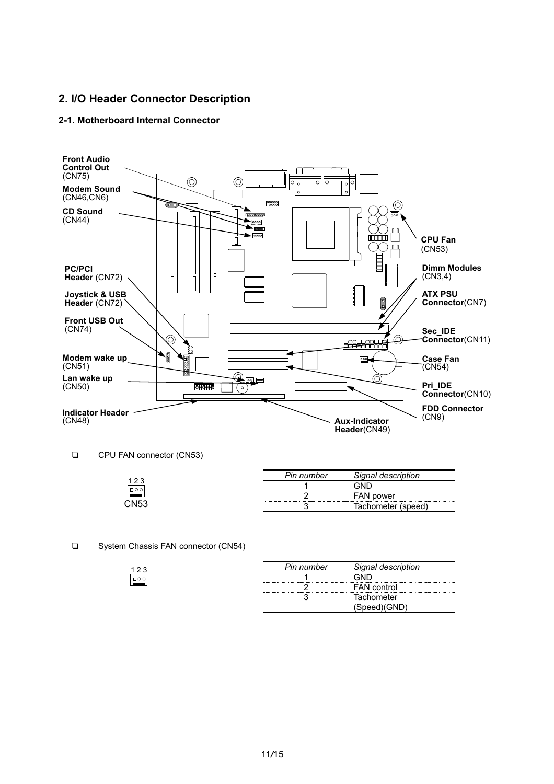### **2. I/O Header Connector Description**

#### **2-1. Motherboard Internal Connector**



CPU FAN connector (CN53)

 $\frac{123}{\lceil \cdot \rceil}$ 

|      | Pin number                                | Signal description   |
|------|-------------------------------------------|----------------------|
|      | ----------------------------<br>--------- |                      |
|      | ----------------------------<br>--------- | <b>FAN power</b>     |
| CN53 |                                           | lachometer<br>speed! |

#### □ System Chassis FAN connector (CN54)

| Pin number | Signal description |  |  |
|------------|--------------------|--|--|
|            |                    |  |  |
|            | <b>FAN</b> control |  |  |
|            | Tachometer         |  |  |
|            |                    |  |  |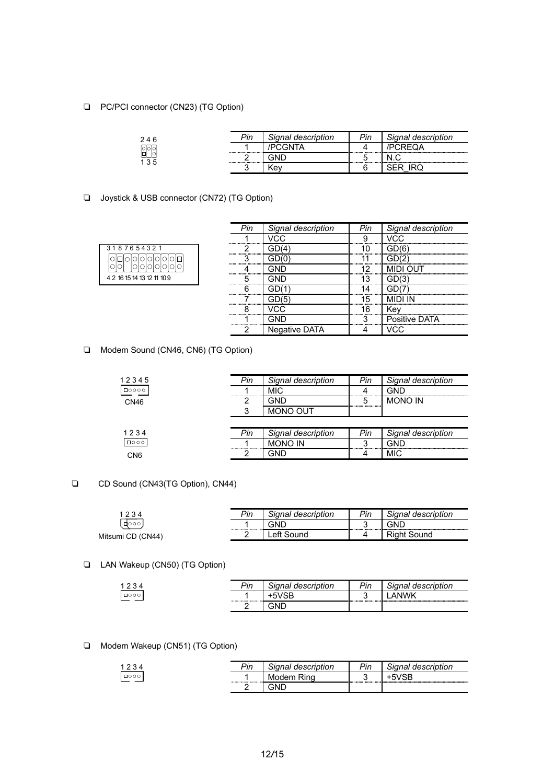□ PC/PCI connector (CN23) (TG Option)

| 246               | ⊃in | <sup>I</sup> description<br>ำnai | מו⊔ | Signal<br>description |
|-------------------|-----|----------------------------------|-----|-----------------------|
| ∣o∣o∣             |     |                                  |     |                       |
| lol<br>lol<br>135 |     | <br>-------------------          |     |                       |
|                   |     | √e∧                              |     |                       |

□ Joystick & USB connector (CN72) (TG Option)

| 3187654321                 |  |  |  |  |  |  |
|----------------------------|--|--|--|--|--|--|
| 10000000                   |  |  |  |  |  |  |
|                            |  |  |  |  |  |  |
| 4 2 16 15 14 13 12 11 10 9 |  |  |  |  |  |  |

| Signal description |         | Signal description |
|--------------------|---------|--------------------|
|                    |         |                    |
|                    |         |                    |
|                    |         |                    |
|                    |         |                    |
| <br>               |         |                    |
|                    |         |                    |
|                    | _ 5<br> |                    |
|                    |         |                    |
|                    |         | Positive DATA      |
| Negative DATA      |         |                    |

T Modem Sound (CN46, CN6) (TG Option)

| 12345           | Pin | Signal description | Pin | Signal description |
|-----------------|-----|--------------------|-----|--------------------|
| $\Box$ 0000     |     | MIC.               |     | תNר                |
| CN46            |     | חור                | 5   | <b>MONO IN</b>     |
|                 |     | <b>MONO OUT</b>    |     |                    |
|                 |     |                    |     |                    |
| 1234            | Pin | Signal description | Pin | Signal description |
| $\Box$ 000      |     | <b>MONO IN</b>     | າ   | GND                |
| CN <sub>6</sub> |     | GND                |     | <b>MIC</b>         |

#### CD Sound (CN43(TG Option), CN44)

|                   | Pin | Signal description           | Pin    | Signal description |
|-------------------|-----|------------------------------|--------|--------------------|
| 1000              |     | GND<br>.<br>---------------- | ◠<br>u | GND                |
| Mitsumi CD (CN44) |     | oτ                           |        | Sound              |
|                   |     |                              |        |                    |

#### T LAN Wakeup (CN50) (TG Option)

| $\sim$                           | $\n  bin\n$<br>- 11 1 | Signal description | Dir<br>-11 | Sianal<br>' description |
|----------------------------------|-----------------------|--------------------|------------|-------------------------|
| $\Box \land \land \land$<br>⊔∪∪∪ |                       |                    |            |                         |
|                                  |                       |                    |            |                         |

#### T Modem Wakeup (CN51) (TG Option)

|            | יים | Signal description | Pin | Signal description |
|------------|-----|--------------------|-----|--------------------|
| $\Box$ 000 |     | Rina<br>ı۷I        |     | --------------     |
|            |     | ЭNС                |     |                    |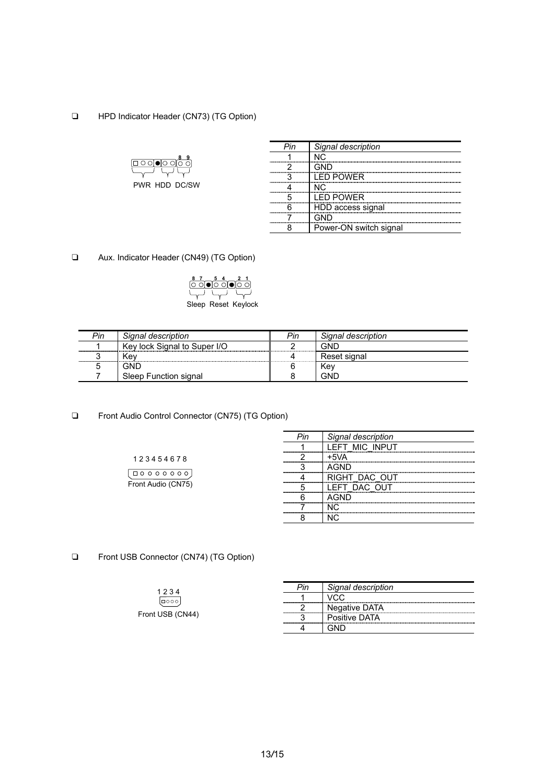#### **T** HPD Indicator Header (CN73) (TG Option)



PWR HDD DC/SW

| Signal description     |
|------------------------|
|                        |
|                        |
| <br>I ED POWER         |
| NIC.                   |
| <br>I ED POWER         |
| HDD access signal      |
|                        |
| Power-ON switch signal |

□ Aux. Indicator Header (CN49) (TG Option)

| 8 7 0 6 4 0 2 1<br> O O 0 0 0 0 0 0 |                     |
|-------------------------------------|---------------------|
|                                     |                     |
|                                     |                     |
|                                     | Sleep Reset Keylock |
|                                     |                     |

| Pin | Signal description                             | Pin | Signal description |
|-----|------------------------------------------------|-----|--------------------|
|     | Key lock Signal to Super I/O<br>-------------- |     | GND                |
|     | ∧ev                                            |     | Reset signal       |
|     | GND                                            |     | Kev                |
|     | Sleep Function signal                          |     | GNF                |

□ Front Audio Control Connector (CN75) (TG Option)

|  | description |
|--|-------------|
|  |             |
|  |             |
|  |             |
|  |             |
|  |             |
|  |             |
|  |             |
|  |             |

□ Front USB Connector (CN74) (TG Option)

1 2 3 4 5 4 6 7 8

Front Audio (CN75)

 $\boxed{\begin{array}{c} \square\; 0\; 0\; 0\; 0\; 0\; 0\; 0\; 0 \end{array}}$ 

| 1234             | Pin | Signal description |
|------------------|-----|--------------------|
| l⊟ooo            |     |                    |
|                  |     | Negative DATA      |
| Front USB (CN44) |     | Positive DATA      |
|                  |     |                    |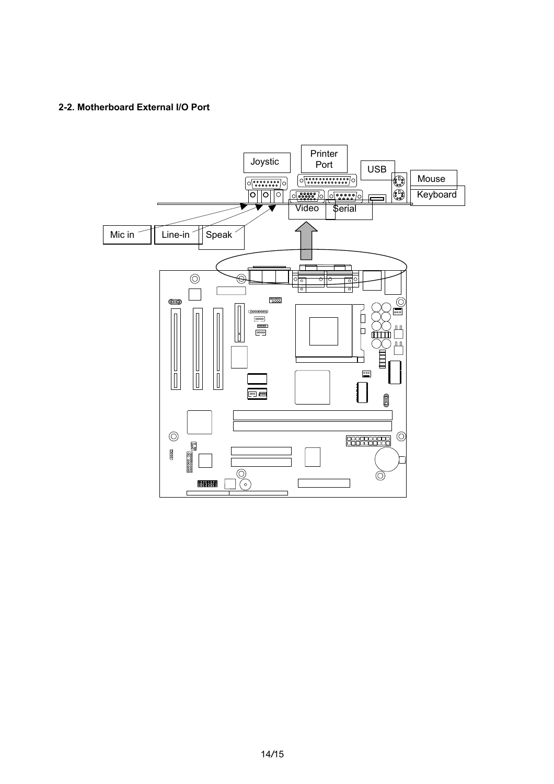#### **2-2. Motherboard External I/O Port**